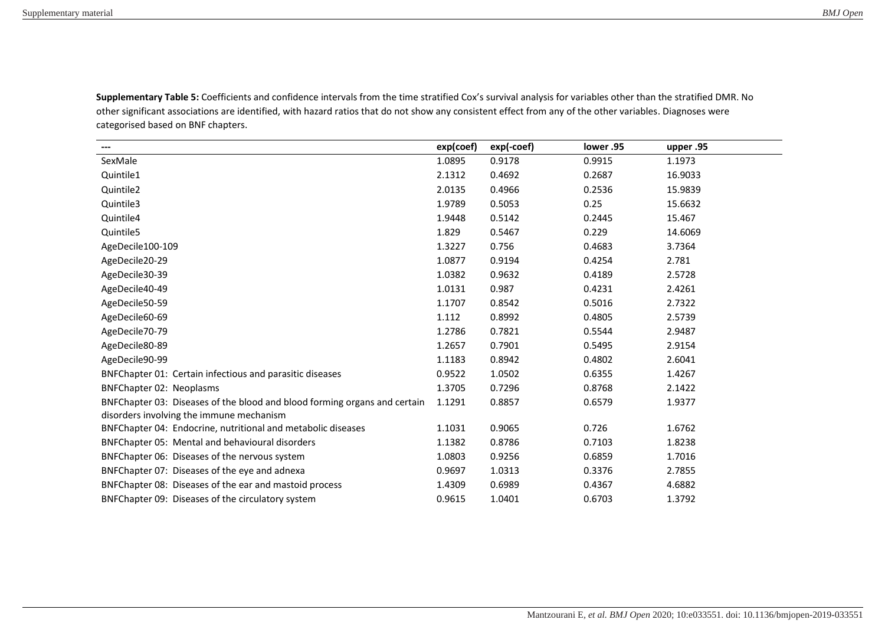**Supplementary Table 5:** Coefficients and confidence intervals from the time stratified Cox's survival analysis for variables other than the stratified DMR. No other significant associations are identified, with hazard ratios that do not show any consistent effect from any of the other variables. Diagnoses were categorised based on BNF chapters.

| $\qquad \qquad \cdots$                                                    | exp(coef) | exp(-coef) | lower .95 | upper .95 |
|---------------------------------------------------------------------------|-----------|------------|-----------|-----------|
| SexMale                                                                   | 1.0895    | 0.9178     | 0.9915    | 1.1973    |
| Quintile1                                                                 | 2.1312    | 0.4692     | 0.2687    | 16.9033   |
| Quintile2                                                                 | 2.0135    | 0.4966     | 0.2536    | 15.9839   |
| Quintile3                                                                 | 1.9789    | 0.5053     | 0.25      | 15.6632   |
| Quintile4                                                                 | 1.9448    | 0.5142     | 0.2445    | 15.467    |
| Quintile5                                                                 | 1.829     | 0.5467     | 0.229     | 14.6069   |
| AgeDecile100-109                                                          | 1.3227    | 0.756      | 0.4683    | 3.7364    |
| AgeDecile20-29                                                            | 1.0877    | 0.9194     | 0.4254    | 2.781     |
| AgeDecile30-39                                                            | 1.0382    | 0.9632     | 0.4189    | 2.5728    |
| AgeDecile40-49                                                            | 1.0131    | 0.987      | 0.4231    | 2.4261    |
| AgeDecile50-59                                                            | 1.1707    | 0.8542     | 0.5016    | 2.7322    |
| AgeDecile60-69                                                            | 1.112     | 0.8992     | 0.4805    | 2.5739    |
| AgeDecile70-79                                                            | 1.2786    | 0.7821     | 0.5544    | 2.9487    |
| AgeDecile80-89                                                            | 1.2657    | 0.7901     | 0.5495    | 2.9154    |
| AgeDecile90-99                                                            | 1.1183    | 0.8942     | 0.4802    | 2.6041    |
| BNFChapter 01: Certain infectious and parasitic diseases                  | 0.9522    | 1.0502     | 0.6355    | 1.4267    |
| <b>BNFChapter 02: Neoplasms</b>                                           | 1.3705    | 0.7296     | 0.8768    | 2.1422    |
| BNFChapter 03: Diseases of the blood and blood forming organs and certain | 1.1291    | 0.8857     | 0.6579    | 1.9377    |
| disorders involving the immune mechanism                                  |           |            |           |           |
| BNFChapter 04: Endocrine, nutritional and metabolic diseases              | 1.1031    | 0.9065     | 0.726     | 1.6762    |
| BNFChapter 05: Mental and behavioural disorders                           | 1.1382    | 0.8786     | 0.7103    | 1.8238    |
| BNFChapter 06: Diseases of the nervous system                             | 1.0803    | 0.9256     | 0.6859    | 1.7016    |
| BNFChapter 07: Diseases of the eye and adnexa                             | 0.9697    | 1.0313     | 0.3376    | 2.7855    |
| BNFChapter 08: Diseases of the ear and mastoid process                    | 1.4309    | 0.6989     | 0.4367    | 4.6882    |
| BNFChapter 09: Diseases of the circulatory system                         | 0.9615    | 1.0401     | 0.6703    | 1.3792    |